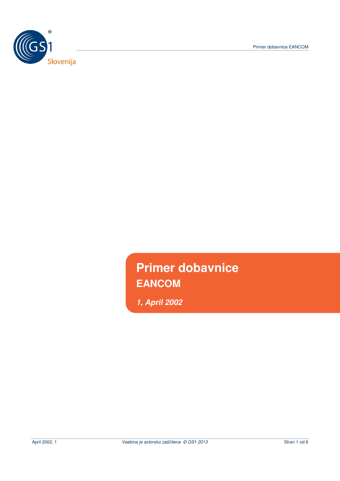Primer dobavnice EANCOM



**Primer dobavnice EANCOM** 

**1, April 2002**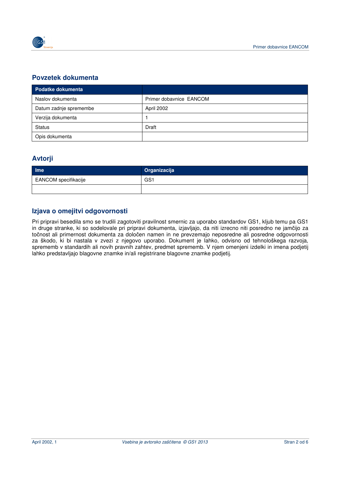

## **Povzetek dokumenta**

| <b>Podatke dokumenta</b> |                         |
|--------------------------|-------------------------|
| Naslov dokumenta         | Primer dobavnice EANCOM |
| Datum zadnje spremembe   | April 2002              |
| Verzija dokumenta        |                         |
| Status                   | Draft                   |
| Opis dokumenta           |                         |

### **Avtorji**

| <b>Ime</b>           | Organizacija |
|----------------------|--------------|
| EANCOM specifikacije | GS1          |
|                      |              |

## **Izjava o omejitvi odgovornosti**

Pri pripravi besedila smo se trudili zagotoviti pravilnost smernic za uporabo standardov GS1, kljub temu pa GS1 in druge stranke, ki so sodelovale pri pripravi dokumenta, izjavljajo, da niti izrecno niti posredno ne jamčijo za točnost ali primernost dokumenta za določen namen in ne prevzemajo neposredne ali posredne odgovornosti za škodo, ki bi nastala v zvezi z njegovo uporabo. Dokument je lahko, odvisno od tehnološkega razvoja, sprememb v standardih ali novih pravnih zahtev, predmet sprememb. V njem omenjeni izdelki in imena podjetij lahko predstavljajo blagovne znamke in/ali registrirane blagovne znamke podjetij.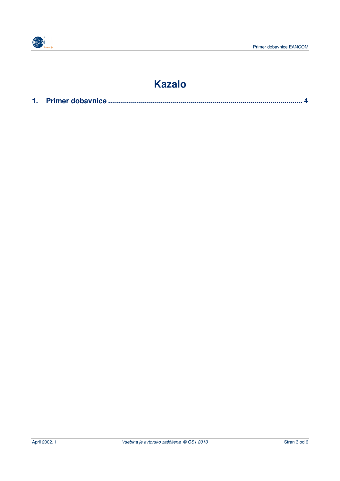

# **Kazalo**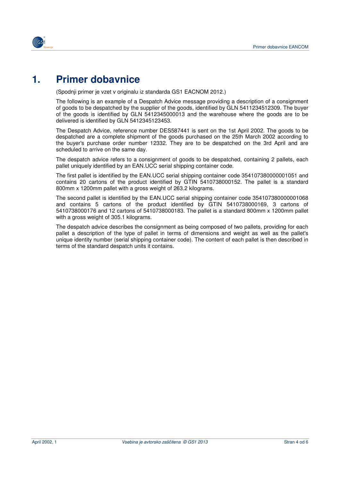

## **1. Primer dobavnice**

(Spodnji primer je vzet v originalu iz standarda GS1 EACNOM 2012.)

The following is an example of a Despatch Advice message providing a description of a consignment of goods to be despatched by the supplier of the goods, identified by GLN 5411234512309. The buyer of the goods is identified by GLN 5412345000013 and the warehouse where the goods are to be delivered is identified by GLN 5412345123453.

The Despatch Advice, reference number DES587441 is sent on the 1st April 2002. The goods to be despatched are a complete shipment of the goods purchased on the 25th March 2002 according to the buyer's purchase order number 12332. They are to be despatched on the 3rd April and are scheduled to arrive on the same day.

The despatch advice refers to a consignment of goods to be despatched, containing 2 pallets, each pallet uniquely identified by an EAN.UCC serial shipping container code.

The first pallet is identified by the EAN.UCC serial shipping container code 354107380000001051 and contains 20 cartons of the product identified by GTIN 5410738000152. The pallet is a standard 800mm x 1200mm pallet with a gross weight of 263.2 kilograms.

The second pallet is identified by the EAN.UCC serial shipping container code 354107380000001068 and contains 5 cartons of the product identified by GTIN 5410738000169, 3 cartons of 5410738000176 and 12 cartons of 5410738000183. The pallet is a standard 800mm x 1200mm pallet with a gross weight of 305.1 kilograms.

The despatch advice describes the consignment as being composed of two pallets, providing for each pallet a description of the type of pallet in terms of dimensions and weight as well as the pallet's unique identity number (serial shipping container code). The content of each pallet is then described in terms of the standard despatch units it contains.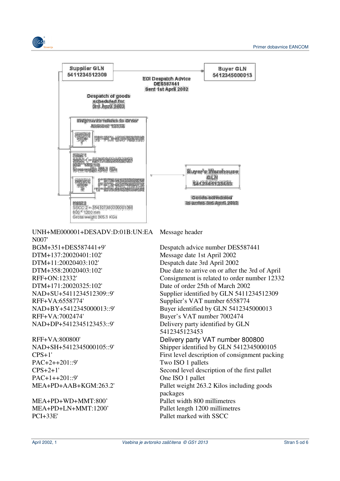

UNH+ME000001+DESADV:D:01B:UN:EA N007'

DTM+137:20020401:102' Message date 1st April 2002 DTM+11:20020403:102' Despatch date 3rd April 2002 RFF+VA:7002474' Buyer's VAT number 7002474

(CGS)

PAC+2++201::9' Two ISO 1 pallets PAC+1++201::9' One ISO 1 pallet

MEA+PD+WD+MMT:800' Pallet width 800 millimetres PCI+33E' Pallet marked with SSCC

Message header

BGM+351+DES587441+9' Despatch advice number DES587441 DTM+358:20020403:102' Due date to arrive on or after the 3rd of April RFF+ON:12332' Consignment is related to order number 12332 DTM+171:20020325:102' Date of order 25th of March 2002 NAD+SU+5411234512309::9' Supplier identified by GLN 5411234512309 RFF+VA:6558774' Supplier's VAT number 6558774 NAD+BY+5412345000013::9' Buyer identified by GLN 5412345000013 NAD+DP+5412345123453::9' Delivery party identified by GLN 5412345123453 RFF+VA:800800' Delivery party VAT number 800800 NAD+SH+5412345000105::9' Shipper identified by GLN 5412345000105 CPS+1' First level description of consignment packing CPS+2+1' Second level description of the first pallet MEA+PD+AAB+KGM:263.2' Pallet weight 263.2 Kilos including goods packages MEA+PD+LN+MMT:1200' Pallet length 1200 millimetres